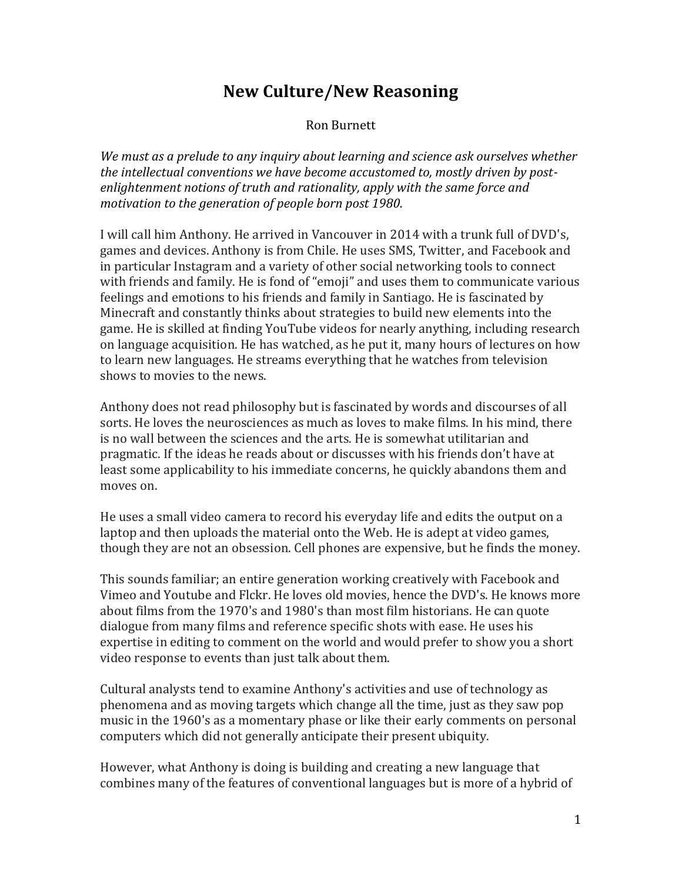## **New Culture/New Reasoning**

Ron Burnett

*We must as a prelude to any inquiry about learning and science ask ourselves whether the intellectual conventions we have become accustomed to, mostly driven by postenlightenment notions of truth and rationality, apply with the same force and motivation to the generation of people born post 1980.* 

I will call him Anthony. He arrived in Vancouver in 2014 with a trunk full of DVD's, games and devices. Anthony is from Chile. He uses SMS, Twitter, and Facebook and in particular Instagram and a variety of other social networking tools to connect with friends and family. He is fond of "emoji" and uses them to communicate various feelings and emotions to his friends and family in Santiago. He is fascinated by Minecraft and constantly thinks about strategies to build new elements into the game. He is skilled at finding YouTube videos for nearly anything, including research on language acquisition. He has watched, as he put it, many hours of lectures on how to learn new languages. He streams everything that he watches from television shows to movies to the news.

Anthony does not read philosophy but is fascinated by words and discourses of all sorts. He loves the neurosciences as much as loves to make films. In his mind, there is no wall between the sciences and the arts. He is somewhat utilitarian and pragmatic. If the ideas he reads about or discusses with his friends don't have at least some applicability to his immediate concerns, he quickly abandons them and moves on.

He uses a small video camera to record his everyday life and edits the output on a laptop and then uploads the material onto the Web. He is adept at video games, though they are not an obsession. Cell phones are expensive, but he finds the money.

This sounds familiar; an entire generation working creatively with Facebook and Vimeo and Youtube and Flckr. He loves old movies, hence the DVD's. He knows more about films from the 1970's and 1980's than most film historians. He can quote dialogue from many films and reference specific shots with ease. He uses his expertise in editing to comment on the world and would prefer to show you a short video response to events than just talk about them.

Cultural analysts tend to examine Anthony's activities and use of technology as phenomena and as moving targets which change all the time, just as they saw pop music in the 1960's as a momentary phase or like their early comments on personal computers which did not generally anticipate their present ubiquity.

However, what Anthony is doing is building and creating a new language that combines many of the features of conventional languages but is more of a hybrid of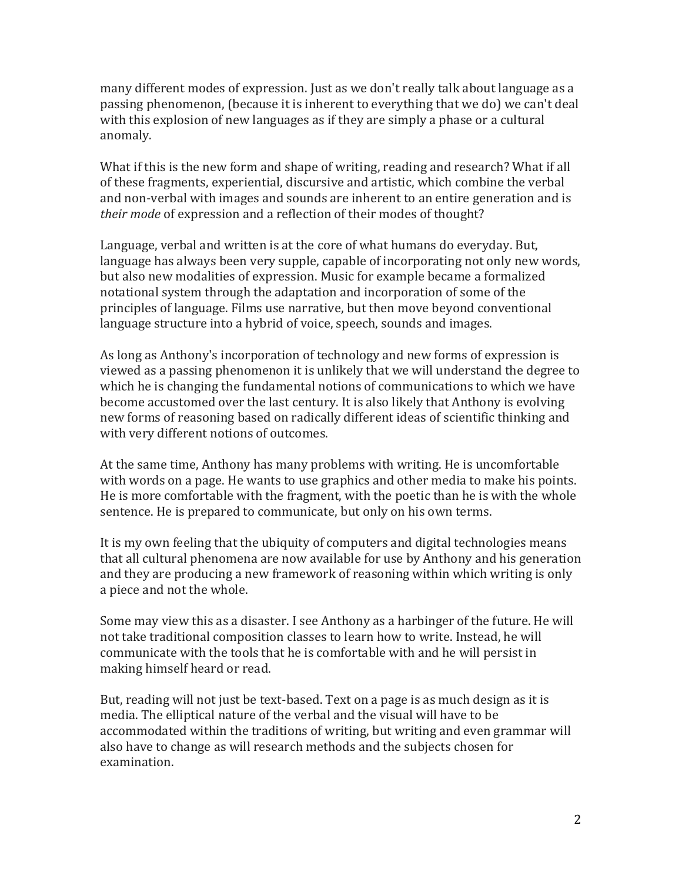many different modes of expression. Just as we don't really talk about language as a passing phenomenon, (because it is inherent to everything that we do) we can't deal with this explosion of new languages as if they are simply a phase or a cultural anomaly.

What if this is the new form and shape of writing, reading and research? What if all of these fragments, experiential, discursive and artistic, which combine the verbal and non-verbal with images and sounds are inherent to an entire generation and is *their mode* of expression and a reflection of their modes of thought?

Language, verbal and written is at the core of what humans do everyday. But, language has always been very supple, capable of incorporating not only new words, but also new modalities of expression. Music for example became a formalized notational system through the adaptation and incorporation of some of the principles of language. Films use narrative, but then move beyond conventional language structure into a hybrid of voice, speech, sounds and images.

As long as Anthony's incorporation of technology and new forms of expression is viewed as a passing phenomenon it is unlikely that we will understand the degree to which he is changing the fundamental notions of communications to which we have become accustomed over the last century. It is also likely that Anthony is evolving new forms of reasoning based on radically different ideas of scientific thinking and with very different notions of outcomes.

At the same time, Anthony has many problems with writing. He is uncomfortable with words on a page. He wants to use graphics and other media to make his points. He is more comfortable with the fragment, with the poetic than he is with the whole sentence. He is prepared to communicate, but only on his own terms.

It is my own feeling that the ubiquity of computers and digital technologies means that all cultural phenomena are now available for use by Anthony and his generation and they are producing a new framework of reasoning within which writing is only a piece and not the whole.

Some may view this as a disaster. I see Anthony as a harbinger of the future. He will not take traditional composition classes to learn how to write. Instead, he will communicate with the tools that he is comfortable with and he will persist in making himself heard or read.

But, reading will not just be text-based. Text on a page is as much design as it is media. The elliptical nature of the verbal and the visual will have to be accommodated within the traditions of writing, but writing and even grammar will also have to change as will research methods and the subjects chosen for examination.